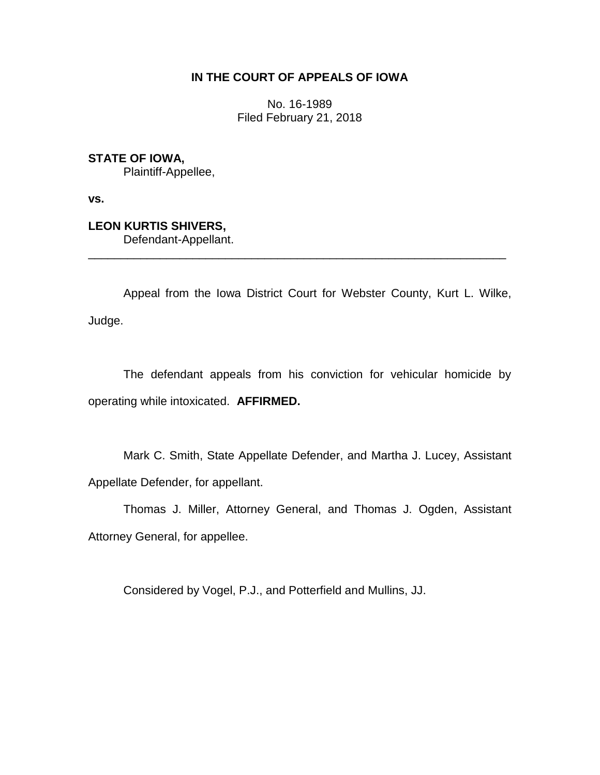# **IN THE COURT OF APPEALS OF IOWA**

No. 16-1989 Filed February 21, 2018

**STATE OF IOWA,**

Plaintiff-Appellee,

**vs.**

**LEON KURTIS SHIVERS,** Defendant-Appellant.

Appeal from the Iowa District Court for Webster County, Kurt L. Wilke, Judge.

\_\_\_\_\_\_\_\_\_\_\_\_\_\_\_\_\_\_\_\_\_\_\_\_\_\_\_\_\_\_\_\_\_\_\_\_\_\_\_\_\_\_\_\_\_\_\_\_\_\_\_\_\_\_\_\_\_\_\_\_\_\_\_\_

The defendant appeals from his conviction for vehicular homicide by operating while intoxicated. **AFFIRMED.**

Mark C. Smith, State Appellate Defender, and Martha J. Lucey, Assistant Appellate Defender, for appellant.

Thomas J. Miller, Attorney General, and Thomas J. Ogden, Assistant Attorney General, for appellee.

Considered by Vogel, P.J., and Potterfield and Mullins, JJ.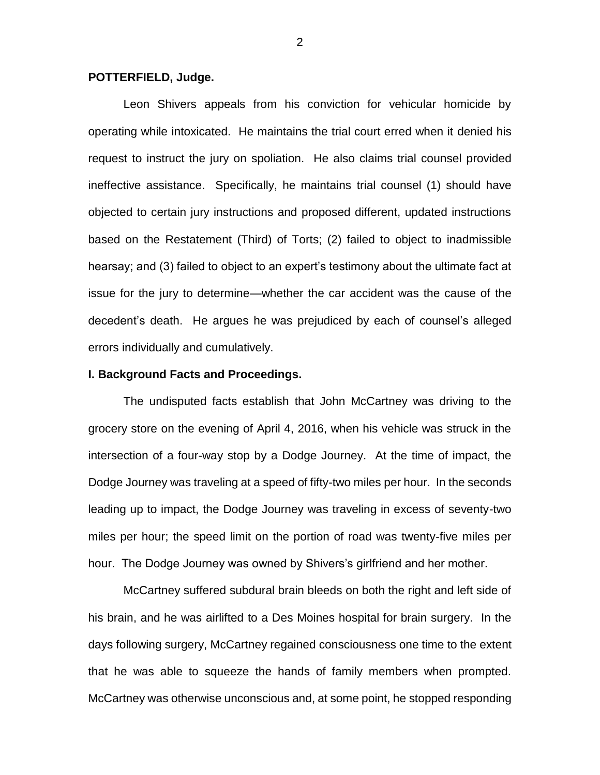#### **POTTERFIELD, Judge.**

Leon Shivers appeals from his conviction for vehicular homicide by operating while intoxicated. He maintains the trial court erred when it denied his request to instruct the jury on spoliation. He also claims trial counsel provided ineffective assistance. Specifically, he maintains trial counsel (1) should have objected to certain jury instructions and proposed different, updated instructions based on the Restatement (Third) of Torts; (2) failed to object to inadmissible hearsay; and (3) failed to object to an expert's testimony about the ultimate fact at issue for the jury to determine—whether the car accident was the cause of the decedent's death. He argues he was prejudiced by each of counsel's alleged errors individually and cumulatively.

## **I. Background Facts and Proceedings.**

The undisputed facts establish that John McCartney was driving to the grocery store on the evening of April 4, 2016, when his vehicle was struck in the intersection of a four-way stop by a Dodge Journey. At the time of impact, the Dodge Journey was traveling at a speed of fifty-two miles per hour. In the seconds leading up to impact, the Dodge Journey was traveling in excess of seventy-two miles per hour; the speed limit on the portion of road was twenty-five miles per hour. The Dodge Journey was owned by Shivers's girlfriend and her mother.

McCartney suffered subdural brain bleeds on both the right and left side of his brain, and he was airlifted to a Des Moines hospital for brain surgery. In the days following surgery, McCartney regained consciousness one time to the extent that he was able to squeeze the hands of family members when prompted. McCartney was otherwise unconscious and, at some point, he stopped responding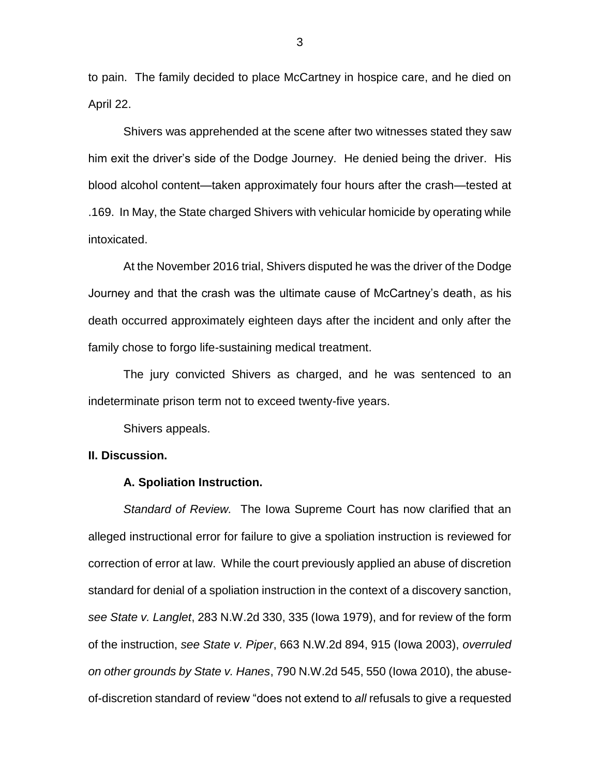to pain. The family decided to place McCartney in hospice care, and he died on April 22.

Shivers was apprehended at the scene after two witnesses stated they saw him exit the driver's side of the Dodge Journey. He denied being the driver. His blood alcohol content—taken approximately four hours after the crash—tested at .169. In May, the State charged Shivers with vehicular homicide by operating while intoxicated.

At the November 2016 trial, Shivers disputed he was the driver of the Dodge Journey and that the crash was the ultimate cause of McCartney's death, as his death occurred approximately eighteen days after the incident and only after the family chose to forgo life-sustaining medical treatment.

The jury convicted Shivers as charged, and he was sentenced to an indeterminate prison term not to exceed twenty-five years.

Shivers appeals.

## **II. Discussion.**

#### **A. Spoliation Instruction.**

*Standard of Review.* The Iowa Supreme Court has now clarified that an alleged instructional error for failure to give a spoliation instruction is reviewed for correction of error at law. While the court previously applied an abuse of discretion standard for denial of a spoliation instruction in the context of a discovery sanction, *see State v. Langlet*, 283 N.W.2d 330, 335 (Iowa 1979), and for review of the form of the instruction, *see State v. Piper*, 663 N.W.2d 894, 915 (Iowa 2003), *overruled on other grounds by State v. Hanes*, 790 N.W.2d 545, 550 (Iowa 2010), the abuseof-discretion standard of review "does not extend to *all* refusals to give a requested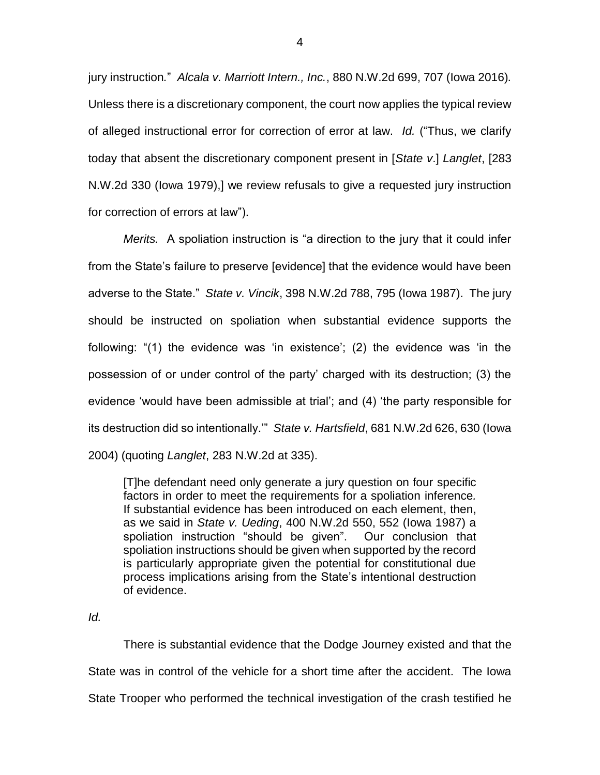jury instruction*.*" *Alcala v. Marriott Intern., Inc.*, 880 N.W.2d 699, 707 (Iowa 2016)*.*  Unless there is a discretionary component, the court now applies the typical review of alleged instructional error for correction of error at law. *Id.* ("Thus, we clarify today that absent the discretionary component present in [*State v*.] *Langlet*, [283 N.W.2d 330 (Iowa 1979),] we review refusals to give a requested jury instruction for correction of errors at law").

*Merits.* A spoliation instruction is "a direction to the jury that it could infer from the State's failure to preserve [evidence] that the evidence would have been adverse to the State." *State v. Vincik*, 398 N.W.2d 788, 795 (Iowa 1987). The jury should be instructed on spoliation when substantial evidence supports the following: "(1) the evidence was 'in existence'; (2) the evidence was 'in the possession of or under control of the party' charged with its destruction; (3) the evidence 'would have been admissible at trial'; and (4) 'the party responsible for its destruction did so intentionally.'" *State v. Hartsfield*, 681 N.W.2d 626, 630 (Iowa 2004) (quoting *Langlet*, 283 N.W.2d at 335).

[T]he defendant need only generate a jury question on four specific factors in order to meet the requirements for a spoliation inference*.* If substantial evidence has been introduced on each element, then, as we said in *State v. Ueding*, 400 N.W.2d 550, 552 (Iowa 1987) a spoliation instruction "should be given". Our conclusion that spoliation instructions should be given when supported by the record is particularly appropriate given the potential for constitutional due process implications arising from the State's intentional destruction of evidence.

## *Id.*

There is substantial evidence that the Dodge Journey existed and that the State was in control of the vehicle for a short time after the accident. The Iowa State Trooper who performed the technical investigation of the crash testified he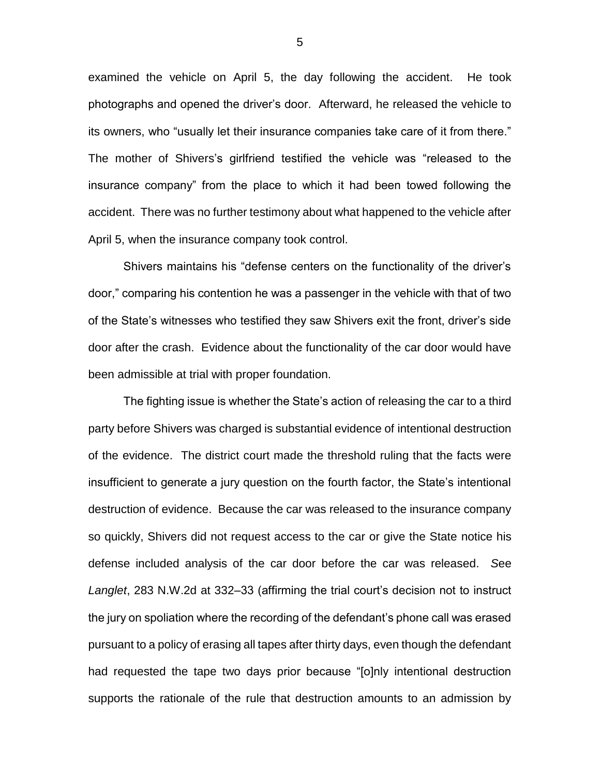examined the vehicle on April 5, the day following the accident. He took photographs and opened the driver's door. Afterward, he released the vehicle to its owners, who "usually let their insurance companies take care of it from there." The mother of Shivers's girlfriend testified the vehicle was "released to the insurance company" from the place to which it had been towed following the accident. There was no further testimony about what happened to the vehicle after April 5, when the insurance company took control.

Shivers maintains his "defense centers on the functionality of the driver's door," comparing his contention he was a passenger in the vehicle with that of two of the State's witnesses who testified they saw Shivers exit the front, driver's side door after the crash. Evidence about the functionality of the car door would have been admissible at trial with proper foundation.

The fighting issue is whether the State's action of releasing the car to a third party before Shivers was charged is substantial evidence of intentional destruction of the evidence. The district court made the threshold ruling that the facts were insufficient to generate a jury question on the fourth factor, the State's intentional destruction of evidence. Because the car was released to the insurance company so quickly, Shivers did not request access to the car or give the State notice his defense included analysis of the car door before the car was released. *S*ee *Langlet*, 283 N.W.2d at 332–33 (affirming the trial court's decision not to instruct the jury on spoliation where the recording of the defendant's phone call was erased pursuant to a policy of erasing all tapes after thirty days, even though the defendant had requested the tape two days prior because "[o]nly intentional destruction supports the rationale of the rule that destruction amounts to an admission by

5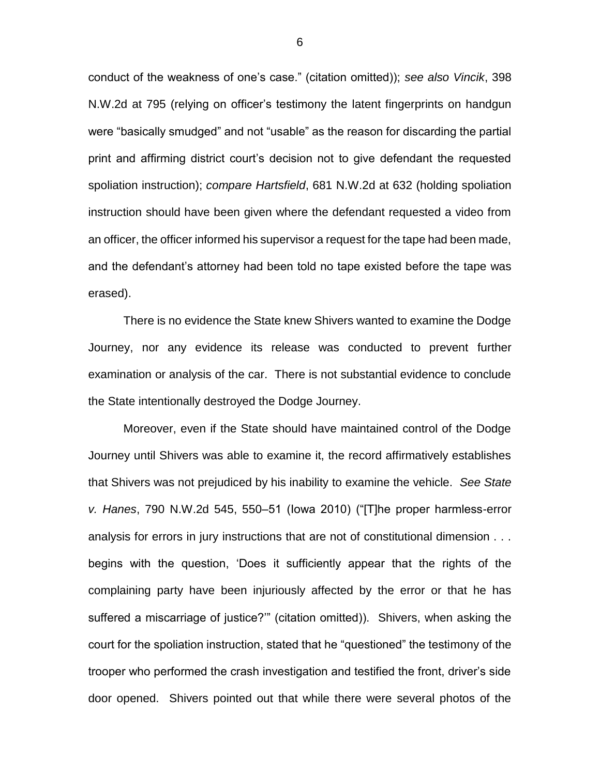conduct of the weakness of one's case." (citation omitted)); *see also Vincik*, 398 N.W.2d at 795 (relying on officer's testimony the latent fingerprints on handgun were "basically smudged" and not "usable" as the reason for discarding the partial print and affirming district court's decision not to give defendant the requested spoliation instruction); *compare Hartsfield*, 681 N.W.2d at 632 (holding spoliation instruction should have been given where the defendant requested a video from an officer, the officer informed his supervisor a request for the tape had been made, and the defendant's attorney had been told no tape existed before the tape was erased).

There is no evidence the State knew Shivers wanted to examine the Dodge Journey, nor any evidence its release was conducted to prevent further examination or analysis of the car. There is not substantial evidence to conclude the State intentionally destroyed the Dodge Journey.

Moreover, even if the State should have maintained control of the Dodge Journey until Shivers was able to examine it, the record affirmatively establishes that Shivers was not prejudiced by his inability to examine the vehicle. *See State v. Hanes*, 790 N.W.2d 545, 550–51 (Iowa 2010) ("[T]he proper harmless-error analysis for errors in jury instructions that are not of constitutional dimension . . . begins with the question, 'Does it sufficiently appear that the rights of the complaining party have been injuriously affected by the error or that he has suffered a miscarriage of justice?'" (citation omitted)). Shivers, when asking the court for the spoliation instruction, stated that he "questioned" the testimony of the trooper who performed the crash investigation and testified the front, driver's side door opened. Shivers pointed out that while there were several photos of the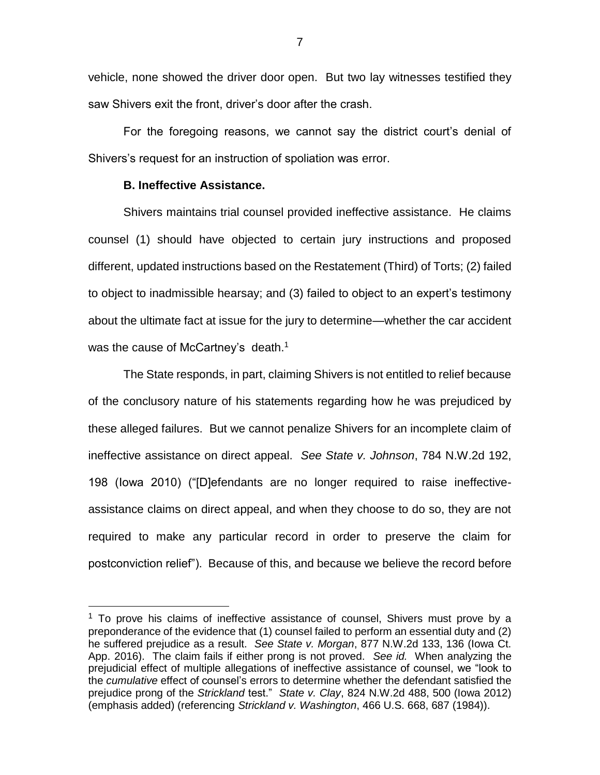vehicle, none showed the driver door open. But two lay witnesses testified they saw Shivers exit the front, driver's door after the crash.

For the foregoing reasons, we cannot say the district court's denial of Shivers's request for an instruction of spoliation was error.

#### **B. Ineffective Assistance.**

 $\overline{a}$ 

Shivers maintains trial counsel provided ineffective assistance. He claims counsel (1) should have objected to certain jury instructions and proposed different, updated instructions based on the Restatement (Third) of Torts; (2) failed to object to inadmissible hearsay; and (3) failed to object to an expert's testimony about the ultimate fact at issue for the jury to determine—whether the car accident was the cause of McCartney's death.<sup>1</sup>

The State responds, in part, claiming Shivers is not entitled to relief because of the conclusory nature of his statements regarding how he was prejudiced by these alleged failures. But we cannot penalize Shivers for an incomplete claim of ineffective assistance on direct appeal. *See State v. Johnson*, 784 N.W.2d 192, 198 (Iowa 2010) ("[D]efendants are no longer required to raise ineffectiveassistance claims on direct appeal, and when they choose to do so, they are not required to make any particular record in order to preserve the claim for postconviction relief"). Because of this, and because we believe the record before

 $1$  To prove his claims of ineffective assistance of counsel, Shivers must prove by a preponderance of the evidence that (1) counsel failed to perform an essential duty and (2) he suffered prejudice as a result. *See State v. Morgan*, 877 N.W.2d 133, 136 (Iowa Ct. App. 2016). The claim fails if either prong is not proved. *See id.* When analyzing the prejudicial effect of multiple allegations of ineffective assistance of counsel, we "look to the *cumulative* effect of counsel's errors to determine whether the defendant satisfied the prejudice prong of the *Strickland* test." *State v. Clay*, 824 N.W.2d 488, 500 (Iowa 2012) (emphasis added) (referencing *Strickland v. Washington*, 466 U.S. 668, 687 (1984)).